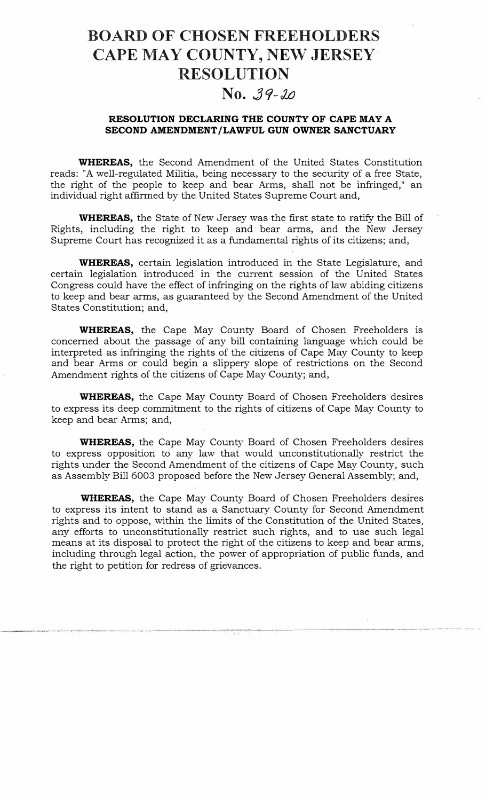# **BOARD OF CHOSEN FREEHOLDERS CAPE MAY COUNTY, NEW JERSEY RESOLUTION**

### No. 39-20

### RESOLUTION DECLARING THE COUNTY OF CAPE MAY A SECOND AMENDMENT/LAWFUL GUN OWNER SANCTUARY

WHEREAS, the Second Amendment of the United States Constitution reads: "A well-regulated Militia, being necessary to the security of a free State, the right of the people to keep and bear Arms, shall not be infringed," an individual right affirmed by the United States Supreme Court and,

WHEREAS, the State of New Jersey was the first state to ratify the Bill of Rights, including the right to keep and bear arms, and the New Jersey Supreme Court has recognized it as a fundamental rights of its citizens; and,

WHEREAS, certain legislation introduced in the State Legislature, and certain legislation introduced in the current session of the United States Congress could have the effect of infringing on the rights of law abiding citizens to keep and bear arms, as guaranteed by the Second Amendment of the United States Constitution; and,

WHEREAS, the Cape May County Board of Chosen Freeholders is concerned about the passage of any bill containing language which could be interpreted as infringing the rights of the citizens of Cape May County to keep and bear Arms or could begin a slippery slope of restrictions on the Second Amendment rights of the citizens of Cape May County; and,

WHEREAS, the Cape May County Board of Chosen Freeholders desires to express its deep commitment to the rights of citizens of Cape May County to keep and bear Arms; and,

WHEREAS, the Cape May County Board of Chosen Freeholders desires to express opposition to any law that would unconstitutionally restrict the rights under the Second Amendment of the citizens of Cape May County, such as Assembly Bill 6003 proposed before the New Jersey General Assembly; and,

WHEREAS, the Cape May County Board of Chosen Freeholders desires to express its intent to stand as a Sanctuary County for Second Amendment rights and to oppose, within the limits of the Constitution of the United States, any efforts to unconstitutionally restrict such rights, and to use such legal means at its disposal to protect the right of the citizens to keep and bear arms, including through legal action, the power of appropriation of public funds, and the right to petition for redress of grievances.